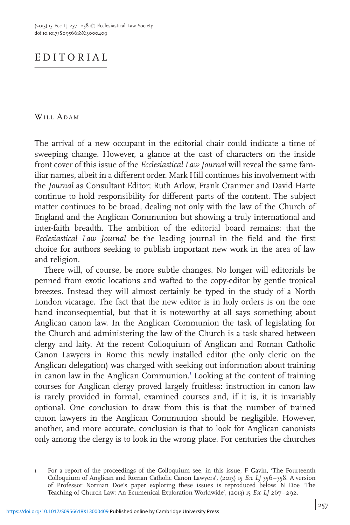## EDITORIAL

WILL ADAM

The arrival of a new occupant in the editorial chair could indicate a time of sweeping change. However, a glance at the cast of characters on the inside front cover of this issue of the Ecclesiastical Law Journal will reveal the same familiar names, albeit in a different order. Mark Hill continues his involvement with the Journal as Consultant Editor; Ruth Arlow, Frank Cranmer and David Harte continue to hold responsibility for different parts of the content. The subject matter continues to be broad, dealing not only with the law of the Church of England and the Anglican Communion but showing a truly international and inter-faith breadth. The ambition of the editorial board remains: that the Ecclesiastical Law Journal be the leading journal in the field and the first choice for authors seeking to publish important new work in the area of law and religion.

There will, of course, be more subtle changes. No longer will editorials be penned from exotic locations and wafted to the copy-editor by gentle tropical breezes. Instead they will almost certainly be typed in the study of a North London vicarage. The fact that the new editor is in holy orders is on the one hand inconsequential, but that it is noteworthy at all says something about Anglican canon law. In the Anglican Communion the task of legislating for the Church and administering the law of the Church is a task shared between clergy and laity. At the recent Colloquium of Anglican and Roman Catholic Canon Lawyers in Rome this newly installed editor (the only cleric on the Anglican delegation) was charged with seeking out information about training in canon law in the Anglican Communion.<sup>1</sup> Looking at the content of training courses for Anglican clergy proved largely fruitless: instruction in canon law is rarely provided in formal, examined courses and, if it is, it is invariably optional. One conclusion to draw from this is that the number of trained canon lawyers in the Anglican Communion should be negligible. However, another, and more accurate, conclusion is that to look for Anglican canonists only among the clergy is to look in the wrong place. For centuries the churches

<sup>1</sup> For a report of the proceedings of the Colloquium see, in this issue, F Gavin, 'The Fourteenth Colloquium of Anglican and Roman Catholic Canon Lawyers', (2013) 15 Ecc LJ 356-358. A version of Professor Norman Doe's paper exploring these issues is reproduced below: N Doe 'The Teaching of Church Law: An Ecumenical Exploration Worldwide', (2013) 15 Ecc LJ 267-292.